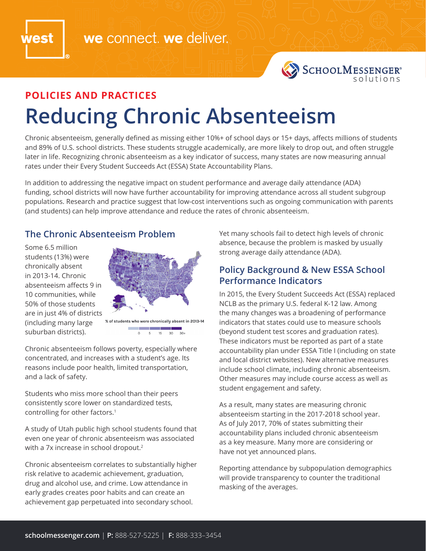



# **Reducing Chronic Absenteeism POLICIES AND PRACTICES**

Chronic absenteeism, generally defined as missing either 10%+ of school days or 15+ days, affects millions of students and 89% of U.S. school districts. These students struggle academically, are more likely to drop out, and often struggle later in life. Recognizing chronic absenteeism as a key indicator of success, many states are now measuring annual rates under their Every Student Succeeds Act (ESSA) State Accountability Plans.

In addition to addressing the negative impact on student performance and average daily attendance (ADA) funding, school districts will now have further accountability for improving attendance across all student subgroup populations. Research and practice suggest that low-cost interventions such as ongoing communication with parents (and students) can help improve attendance and reduce the rates of chronic absenteeism.

#### **The Chronic Absenteeism Problem**

Some 6.5 million students (13%) were chronically absent in 2013-14. Chronic absenteeism affects 9 in 10 communities, while 50% of those students are in just 4% of districts (including many large suburban districts).



 $\frac{1}{30}$   $\frac{1}{30+}$ 15 5

Chronic absenteeism follows poverty, especially where concentrated, and increases with a student's age. Its reasons include poor health, limited transportation, and a lack of safety.

Students who miss more school than their peers consistently score lower on standardized tests, controlling for other factors.<sup>1</sup>

A study of Utah public high school students found that even one year of chronic absenteeism was associated with a 7x increase in school dropout.<sup>2</sup>

Chronic absenteeism correlates to substantially higher risk relative to academic achievement, graduation, drug and alcohol use, and crime. Low attendance in early grades creates poor habits and can create an achievement gap perpetuated into secondary school.

Yet many schools fail to detect high levels of chronic absence, because the problem is masked by usually strong average daily attendance (ADA).

### **Policy Background & New ESSA School Performance Indicators**

In 2015, the Every Student Succeeds Act (ESSA) replaced NCLB as the primary U.S. federal K-12 law. Among the many changes was a broadening of performance indicators that states could use to measure schools (beyond student test scores and graduation rates). These indicators must be reported as part of a state accountability plan under ESSA Title I (including on state and local district websites). New alternative measures include school climate, including chronic absenteeism. Other measures may include course access as well as student engagement and safety.

As a result, many states are measuring chronic absenteeism starting in the 2017-2018 school year. As of July 2017, 70% of states submitting their accountability plans included chronic absenteeism as a key measure. Many more are considering or have not yet announced plans.

Reporting attendance by subpopulation demographics will provide transparency to counter the traditional masking of the averages.